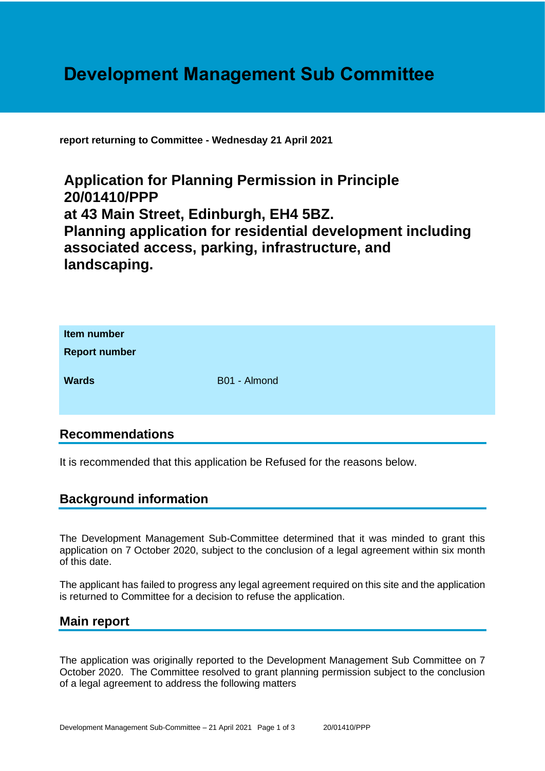# **Development Management Sub Committee**

**report returning to Committee - Wednesday 21 April 2021**

**Application for Planning Permission in Principle 20/01410/PPP at 43 Main Street, Edinburgh, EH4 5BZ. Planning application for residential development including associated access, parking, infrastructure, and landscaping.**

| Item number<br><b>Report number</b> |              |
|-------------------------------------|--------------|
| <b>Wards</b>                        | B01 - Almond |

## **Recommendations**

It is recommended that this application be Refused for the reasons below.

## **Background information**

The Development Management Sub-Committee determined that it was minded to grant this application on 7 October 2020, subject to the conclusion of a legal agreement within six month of this date.

The applicant has failed to progress any legal agreement required on this site and the application is returned to Committee for a decision to refuse the application.

#### **Main report**

The application was originally reported to the Development Management Sub Committee on 7 October 2020. The Committee resolved to grant planning permission subject to the conclusion of a legal agreement to address the following matters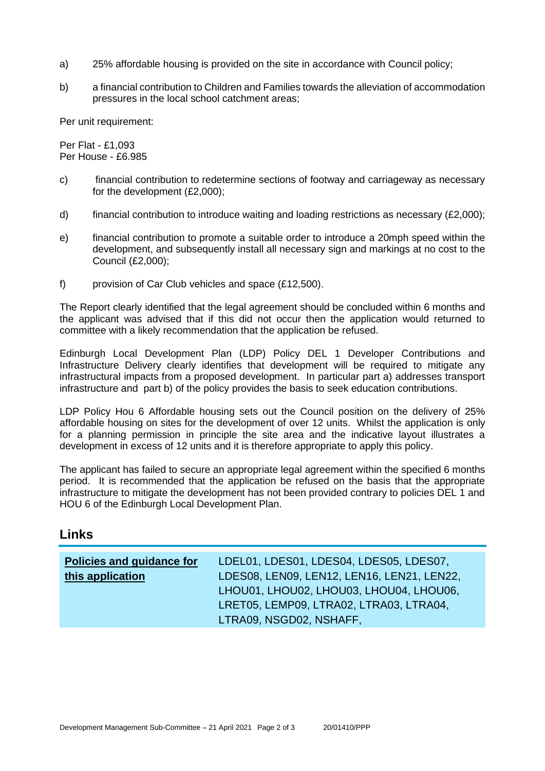- a) 25% affordable housing is provided on the site in accordance with Council policy;
- b) a financial contribution to Children and Families towards the alleviation of accommodation pressures in the local school catchment areas;

Per unit requirement:

Per Flat - £1,093 Per House - £6.985

- c) financial contribution to redetermine sections of footway and carriageway as necessary for the development (£2,000);
- d) financial contribution to introduce waiting and loading restrictions as necessary (£2,000);
- e) financial contribution to promote a suitable order to introduce a 20mph speed within the development, and subsequently install all necessary sign and markings at no cost to the Council (£2,000);
- f) provision of Car Club vehicles and space (£12,500).

The Report clearly identified that the legal agreement should be concluded within 6 months and the applicant was advised that if this did not occur then the application would returned to committee with a likely recommendation that the application be refused.

Edinburgh Local Development Plan (LDP) Policy DEL 1 Developer Contributions and Infrastructure Delivery clearly identifies that development will be required to mitigate any infrastructural impacts from a proposed development. In particular part a) addresses transport infrastructure and part b) of the policy provides the basis to seek education contributions.

LDP Policy Hou 6 Affordable housing sets out the Council position on the delivery of 25% affordable housing on sites for the development of over 12 units. Whilst the application is only for a planning permission in principle the site area and the indicative layout illustrates a development in excess of 12 units and it is therefore appropriate to apply this policy.

The applicant has failed to secure an appropriate legal agreement within the specified 6 months period. It is recommended that the application be refused on the basis that the appropriate infrastructure to mitigate the development has not been provided contrary to policies DEL 1 and HOU 6 of the Edinburgh Local Development Plan.

#### **Links**

| <b>Policies and guidance for</b> | LDEL01, LDES01, LDES04, LDES05, LDES07,                                               |
|----------------------------------|---------------------------------------------------------------------------------------|
| this application                 | LDES08, LEN09, LEN12, LEN16, LEN21, LEN22,<br>LHOU01, LHOU02, LHOU03, LHOU04, LHOU06, |
|                                  | LRET05, LEMP09, LTRA02, LTRA03, LTRA04,                                               |
|                                  | LTRA09, NSGD02, NSHAFF,                                                               |